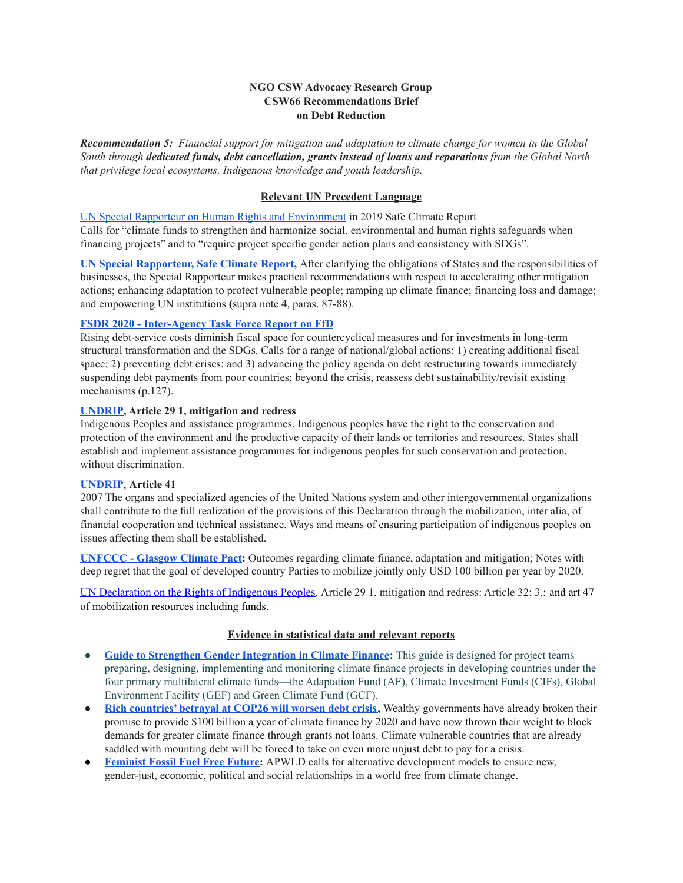# **NGO CSW Advocacy Research Group CSW66 Recommendations Brief on Debt Reduction**

*Recommendation 5: Financial support for mitigation and adaptation to climate change for women in the Global South through dedicated funds, debt cancellation, grants instead of loans and reparations from the Global North that privilege local ecosystems, Indigenous knowledge and youth leadership.*

#### **Relevant UN Precedent Language**

UN Special Rapporteur on Human Rights and Environment in 2019 Safe Climate Report Calls for "climate funds to strengthen and harmonize social, environmental and human rights safeguards when financing projects" and to "require project specific gender action plans and consistency with SDGs".

**UN Special Rapporteur, Safe Climate Report,** After clarifying the obligations of States and the responsibilities of businesses, the Special Rapporteur makes practical recommendations with respect to accelerating other mitigation actions; enhancing adaptation to protect vulnerable people; ramping up climate finance; financing loss and damage; and empowering UN institutions **(**supra note 4, paras. 87-88).

#### **FSDR 2020 - Inter-Agency Task Force Report on FfD**

Rising debt-service costs diminish fiscal space for countercyclical measures and for investments in long-term structural transformation and the SDGs. Calls for a range of national/global actions: 1) creating additional fiscal space; 2) preventing debt crises; and 3) advancing the policy agenda on debt restructuring towards immediately suspending debt payments from poor countries; beyond the crisis, reassess debt sustainability/revisit existing mechanisms (p.127).

#### **UNDRIP, Article 29 1, mitigation and redress**

Indigenous Peoples and assistance programmes. Indigenous peoples have the right to the conservation and protection of the environment and the productive capacity of their lands or territories and resources. States shall establish and implement assistance programmes for indigenous peoples for such conservation and protection, without discrimination.

## **UNDRIP**, **Article 41**

2007 The organs and specialized agencies of the United Nations system and other intergovernmental organizations shall contribute to the full realization of the provisions of this Declaration through the mobilization, inter alia, of financial cooperation and technical assistance. Ways and means of ensuring participation of indigenous peoples on issues affecting them shall be established.

**UNFCCC - Glasgow Climate Pact:** Outcomes regarding climate finance, adaptation and mitigation; Notes with deep regret that the goal of developed country Parties to mobilize jointly only USD 100 billion per year by 2020.

UN [Declaration](https://www.un.org/development/desa/indigenouspeoples/wp-content/uploads/sites/19/2018/11/UNDRIP_E_web.pdf) on the Rights of Indigenous Peoples, Article 29 1, mitigation and redress: Article 32: 3.; and art 47 of mobilization resources including funds.

#### **Evidence in statistical data and relevant reports**

- **Guide to Strengthen Gender Integration in Climate Finance:** This guide is designed for project teams preparing, designing, implementing and monitoring climate finance projects in developing countries under the four primary multilateral climate funds—the Adaptation Fund (AF), Climate Investment Funds (CIFs), Global Environment Facility (GEF) and Green Climate Fund (GCF).
- **Rich countries' betrayal at COP26 will worsen debt crisis,** Wealthy governments have already broken their promise to provide \$100 billion a year of climate finance by 2020 and have now thrown their weight to block demands for greater climate finance through grants not loans. Climate vulnerable countries that are already saddled with mounting debt will be forced to take on even more unjust debt to pay for a crisis.
- **Feminist Fossil Fuel Free Future:** APWLD calls for alternative development models to ensure new, gender-just, economic, political and social relationships in a world free from climate change.